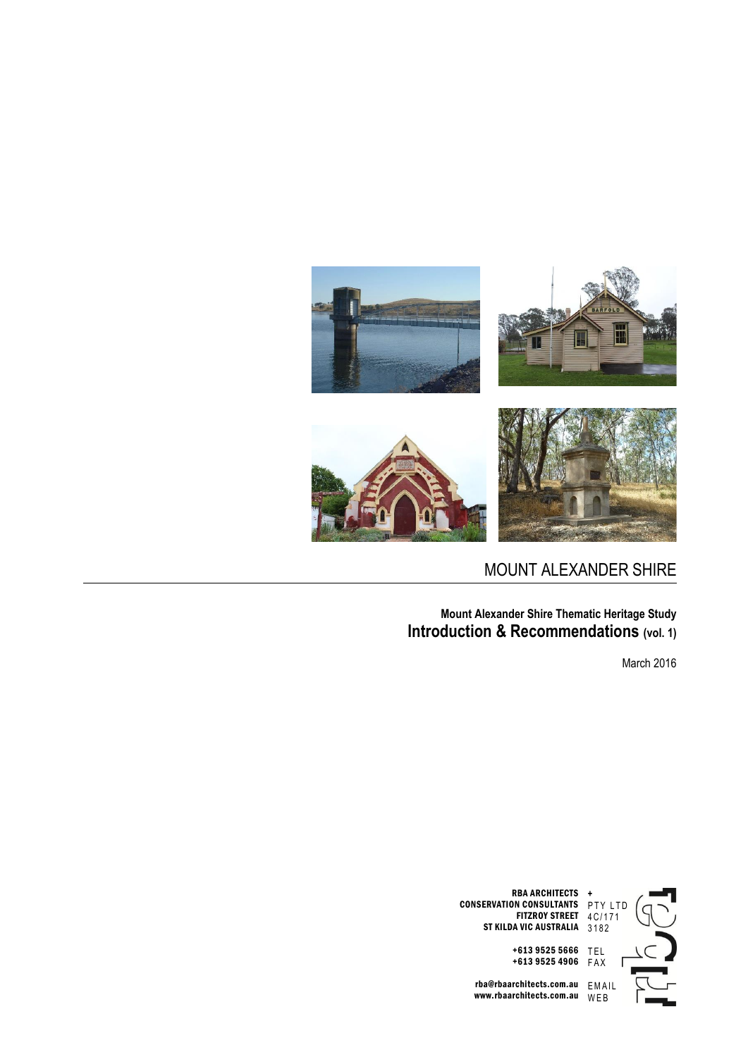

## MOUNT ALEXANDER SHIRE

**Mount Alexander Shire Thematic Heritage Study Introduction & Recommendations (vol. 1)**

March 2016



RBA ARCHITECTS CONSERVATION CONSULTANTS FITZROY STREET 4C/171 ST KILDA VIC AUSTRALIA 3182

+613 9525 4906 F A X rba@rbaarchitects.com.au

www.rbaarchitects.com.au E M A I L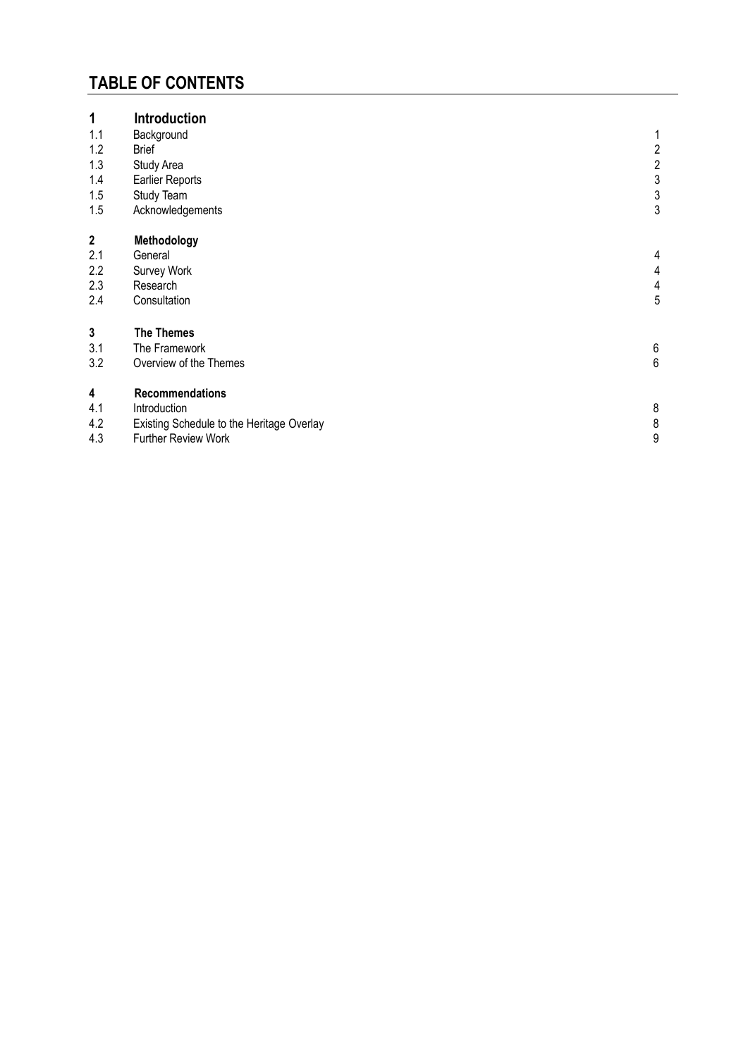# **TABLE OF CONTENTS**

| 1                | <b>Introduction</b>                       |                         |
|------------------|-------------------------------------------|-------------------------|
| 1.1              | Background                                | 1                       |
| 1.2              | <b>Brief</b>                              | $\overline{c}$          |
| 1.3              | Study Area                                | $\sqrt{2}$              |
| 1.4              | <b>Earlier Reports</b>                    | $\sqrt{3}$              |
| 1.5              | Study Team                                | $\mathfrak{Z}$          |
| 1.5              | Acknowledgements                          | $\sqrt{3}$              |
| $\boldsymbol{2}$ | Methodology                               |                         |
| 2.1              | General                                   | 4                       |
| 2.2              | Survey Work                               | 4                       |
| 2.3              | Research                                  | $\overline{\mathbf{4}}$ |
| 2.4              | Consultation                              | 5                       |
| $\mathbf{3}$     | <b>The Themes</b>                         |                         |
| 3.1              | The Framework                             | $\,6$                   |
| 3.2              | Overview of the Themes                    | $6\phantom{1}6$         |
| 4                | <b>Recommendations</b>                    |                         |
| 4.1              | Introduction                              | 8                       |
| 4.2              | Existing Schedule to the Heritage Overlay | $\,8\,$                 |
| 4.3              | Further Review Work                       | 9                       |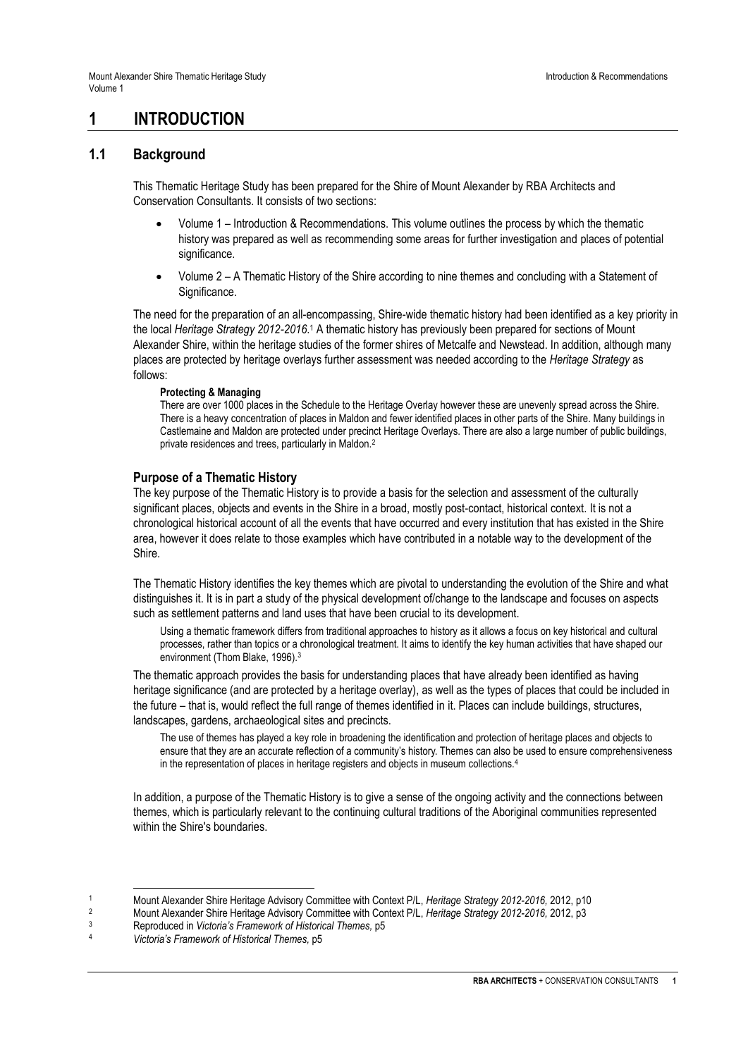## **1 INTRODUCTION**

### **1.1 Background**

This Thematic Heritage Study has been prepared for the Shire of Mount Alexander by RBA Architects and Conservation Consultants. It consists of two sections:

- Volume 1 Introduction & Recommendations. This volume outlines the process by which the thematic history was prepared as well as recommending some areas for further investigation and places of potential significance.
- Volume 2 A Thematic History of the Shire according to nine themes and concluding with a Statement of Significance.

The need for the preparation of an all-encompassing, Shire-wide thematic history had been identified as a key priority in the local *Heritage Strategy 2012-2016*.<sup>1</sup> A thematic history has previously been prepared for sections of Mount Alexander Shire, within the heritage studies of the former shires of Metcalfe and Newstead. In addition, although many places are protected by heritage overlays further assessment was needed according to the *Heritage Strategy* as follows:

#### **Protecting & Managing**

There are over 1000 places in the Schedule to the Heritage Overlay however these are unevenly spread across the Shire. There is a heavy concentration of places in Maldon and fewer identified places in other parts of the Shire. Many buildings in Castlemaine and Maldon are protected under precinct Heritage Overlays. There are also a large number of public buildings, private residences and trees, particularly in Maldon.<sup>2</sup>

#### **Purpose of a Thematic History**

The key purpose of the Thematic History is to provide a basis for the selection and assessment of the culturally significant places, objects and events in the Shire in a broad, mostly post-contact, historical context. It is not a chronological historical account of all the events that have occurred and every institution that has existed in the Shire area, however it does relate to those examples which have contributed in a notable way to the development of the Shire.

The Thematic History identifies the key themes which are pivotal to understanding the evolution of the Shire and what distinguishes it. It is in part a study of the physical development of/change to the landscape and focuses on aspects such as settlement patterns and land uses that have been crucial to its development.

Using a thematic framework differs from traditional approaches to history as it allows a focus on key historical and cultural processes, rather than topics or a chronological treatment. It aims to identify the key human activities that have shaped our environment (Thom Blake, 1996).<sup>3</sup>

The thematic approach provides the basis for understanding places that have already been identified as having heritage significance (and are protected by a heritage overlay), as well as the types of places that could be included in the future – that is, would reflect the full range of themes identified in it. Places can include buildings, structures, landscapes, gardens, archaeological sites and precincts.

The use of themes has played a key role in broadening the identification and protection of heritage places and objects to ensure that they are an accurate reflection of a community's history. Themes can also be used to ensure comprehensiveness in the representation of places in heritage registers and objects in museum collections.<sup>4</sup>

In addition, a purpose of the Thematic History is to give a sense of the ongoing activity and the connections between themes, which is particularly relevant to the continuing cultural traditions of the Aboriginal communities represented within the Shire's boundaries.

- 2 Mount Alexander Shire Heritage Advisory Committee with Context P/L, *Heritage Strategy 2012-2016, 2*012, p3<br>Benroduced in *Victoria's Framework of Historical Thomes* p5
- <sup>3</sup> Reproduced in *Victoria's Framework of Historical Themes,* p5
- <sup>4</sup> *Victoria's Framework of Historical Themes,* p5

l 1 Mount Alexander Shire Heritage Advisory Committee with Context P/L, *Heritage Strategy 2012-2016, 2012, p10*<br>2 Mount Alexander Shire Heritage Advisory Committee with Context P/L, *Heritage Strategy 2012-2016, 2012, p*2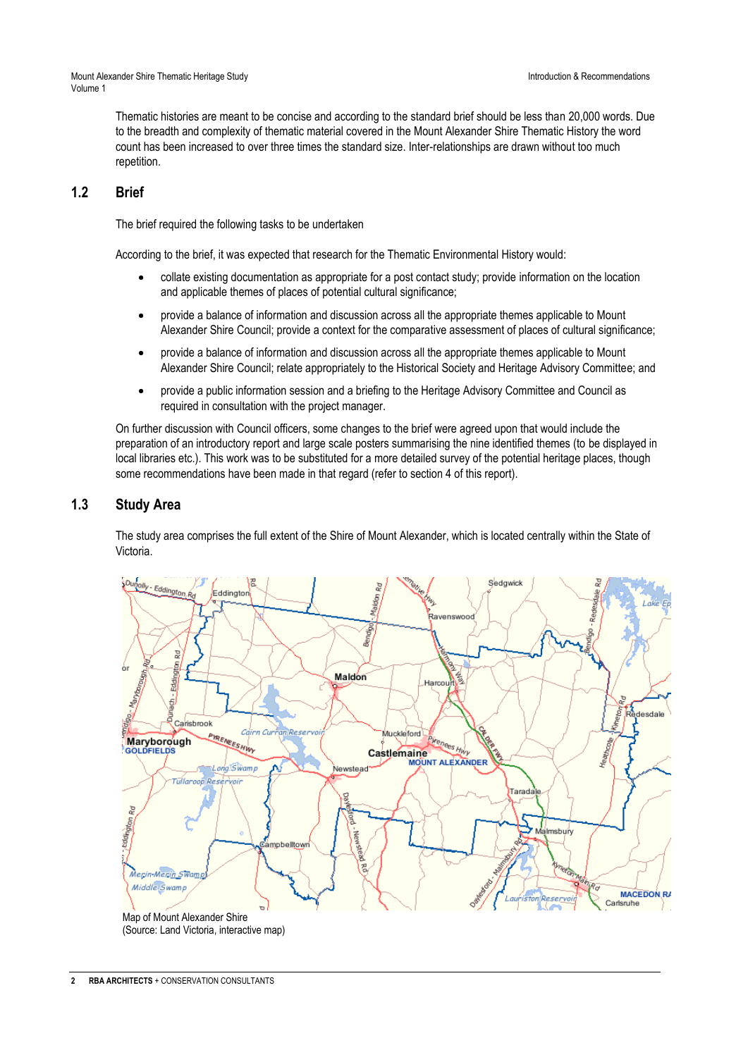Mount Alexander Shire Thematic Heritage Study Introduction & Recommendations Volume 1

Thematic histories are meant to be concise and according to the standard brief should be less than 20,000 words. Due to the breadth and complexity of thematic material covered in the Mount Alexander Shire Thematic History the word count has been increased to over three times the standard size. Inter-relationships are drawn without too much repetition.

## **1.2 Brief**

The brief required the following tasks to be undertaken

According to the brief, it was expected that research for the Thematic Environmental History would:

- collate existing documentation as appropriate for a post contact study; provide information on the location and applicable themes of places of potential cultural significance;
- provide a balance of information and discussion across all the appropriate themes applicable to Mount Alexander Shire Council; provide a context for the comparative assessment of places of cultural significance;
- provide a balance of information and discussion across all the appropriate themes applicable to Mount Alexander Shire Council; relate appropriately to the Historical Society and Heritage Advisory Committee; and
- provide a public information session and a briefing to the Heritage Advisory Committee and Council as required in consultation with the project manager.

On further discussion with Council officers, some changes to the brief were agreed upon that would include the preparation of an introductory report and large scale posters summarising the nine identified themes (to be displayed in local libraries etc.). This work was to be substituted for a more detailed survey of the potential heritage places, though some recommendations have been made in that regard (refer to section 4 of this report).

## **1.3 Study Area**

The study area comprises the full extent of the Shire of Mount Alexander, which is located centrally within the State of Victoria.

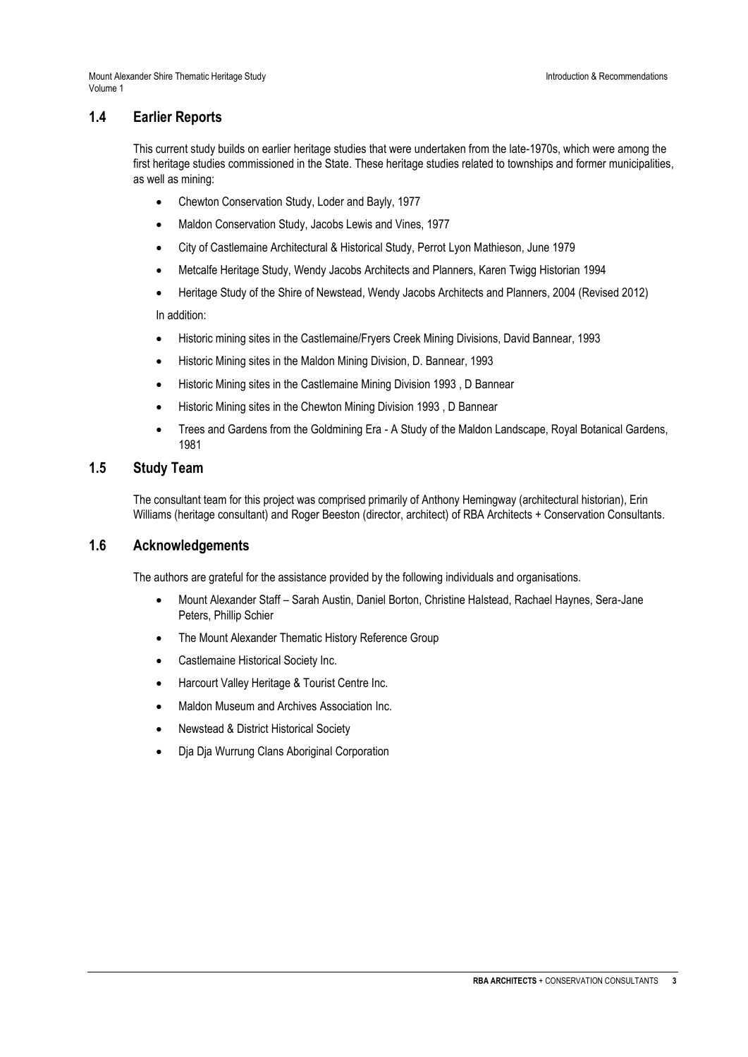## **1.4 Earlier Reports**

This current study builds on earlier heritage studies that were undertaken from the late-1970s, which were among the first heritage studies commissioned in the State. These heritage studies related to townships and former municipalities, as well as mining:

- Chewton Conservation Study, Loder and Bayly, 1977
- Maldon Conservation Study, Jacobs Lewis and Vines, 1977
- City of Castlemaine Architectural & Historical Study, Perrot Lyon Mathieson, June 1979
- Metcalfe Heritage Study, Wendy Jacobs Architects and Planners, Karen Twigg Historian 1994
- Heritage Study of the Shire of Newstead, Wendy Jacobs Architects and Planners, 2004 (Revised 2012) In addition:
- Historic mining sites in the Castlemaine/Fryers Creek Mining Divisions, David Bannear, 1993
- Historic Mining sites in the Maldon Mining Division, D. Bannear, 1993
- Historic Mining sites in the Castlemaine Mining Division 1993 , D Bannear
- Historic Mining sites in the Chewton Mining Division 1993 , D Bannear
- Trees and Gardens from the Goldmining Era A Study of the Maldon Landscape, Royal Botanical Gardens, 1981

## **1.5 Study Team**

The consultant team for this project was comprised primarily of Anthony Hemingway (architectural historian), Erin Williams (heritage consultant) and Roger Beeston (director, architect) of RBA Architects + Conservation Consultants.

### **1.6 Acknowledgements**

The authors are grateful for the assistance provided by the following individuals and organisations.

- Mount Alexander Staff Sarah Austin, Daniel Borton, Christine Halstead, Rachael Haynes, Sera-Jane Peters, Phillip Schier
- The Mount Alexander Thematic History Reference Group
- Castlemaine Historical Society Inc.
- Harcourt Valley Heritage & Tourist Centre Inc.
- Maldon Museum and Archives Association Inc.
- Newstead & District Historical Society
- Dia Dia Wurrung Clans Aboriginal Corporation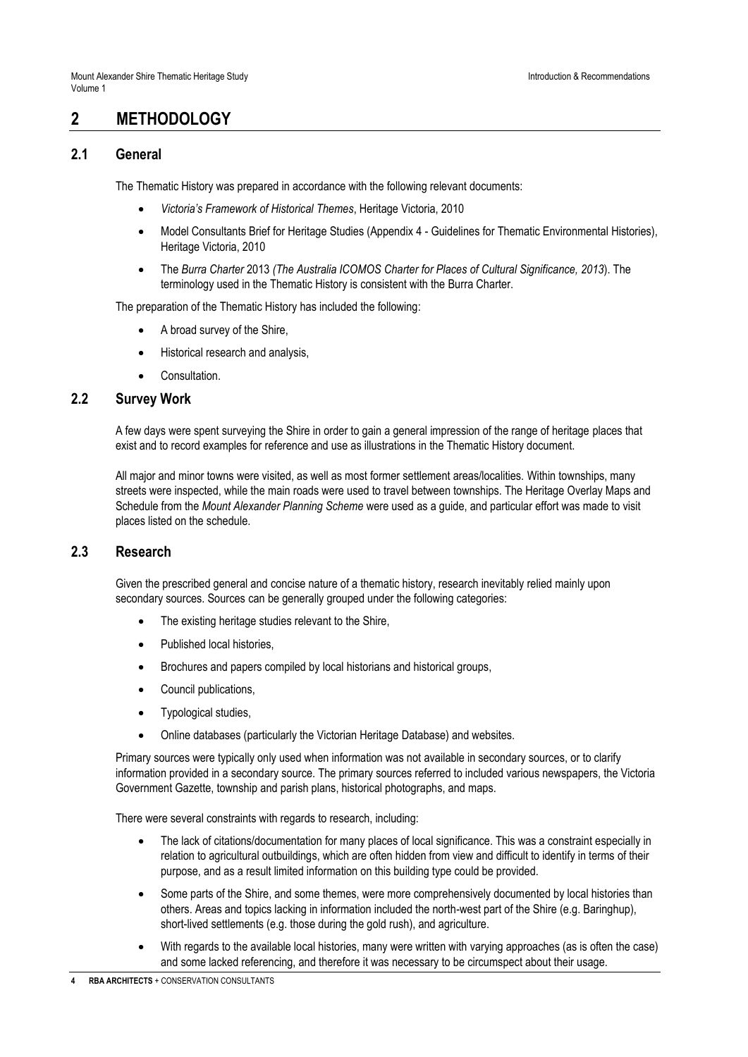## **2 METHODOLOGY**

### **2.1 General**

The Thematic History was prepared in accordance with the following relevant documents:

- *Victoria's Framework of Historical Themes*, Heritage Victoria, 2010
- Model Consultants Brief for Heritage Studies (Appendix 4 Guidelines for Thematic Environmental Histories), Heritage Victoria, 2010
- The *Burra Charter* 2013 *(The Australia ICOMOS Charter for Places of Cultural Significance, 2013*). The terminology used in the Thematic History is consistent with the Burra Charter.

The preparation of the Thematic History has included the following:

- A broad survey of the Shire,
- Historical research and analysis,
- Consultation.

### **2.2 Survey Work**

A few days were spent surveying the Shire in order to gain a general impression of the range of heritage places that exist and to record examples for reference and use as illustrations in the Thematic History document.

All major and minor towns were visited, as well as most former settlement areas/localities. Within townships, many streets were inspected, while the main roads were used to travel between townships. The Heritage Overlay Maps and Schedule from the *Mount Alexander Planning Scheme* were used as a guide, and particular effort was made to visit places listed on the schedule.

#### **2.3 Research**

Given the prescribed general and concise nature of a thematic history, research inevitably relied mainly upon secondary sources. Sources can be generally grouped under the following categories:

- The existing heritage studies relevant to the Shire,
- Published local histories,
- Brochures and papers compiled by local historians and historical groups,
- Council publications,
- Typological studies,
- Online databases (particularly the Victorian Heritage Database) and websites.

Primary sources were typically only used when information was not available in secondary sources, or to clarify information provided in a secondary source. The primary sources referred to included various newspapers, the Victoria Government Gazette, township and parish plans, historical photographs, and maps.

There were several constraints with regards to research, including:

- The lack of citations/documentation for many places of local significance. This was a constraint especially in relation to agricultural outbuildings, which are often hidden from view and difficult to identify in terms of their purpose, and as a result limited information on this building type could be provided.
- Some parts of the Shire, and some themes, were more comprehensively documented by local histories than others. Areas and topics lacking in information included the north-west part of the Shire (e.g. Baringhup), short-lived settlements (e.g. those during the gold rush), and agriculture.
- With regards to the available local histories, many were written with varying approaches (as is often the case) and some lacked referencing, and therefore it was necessary to be circumspect about their usage.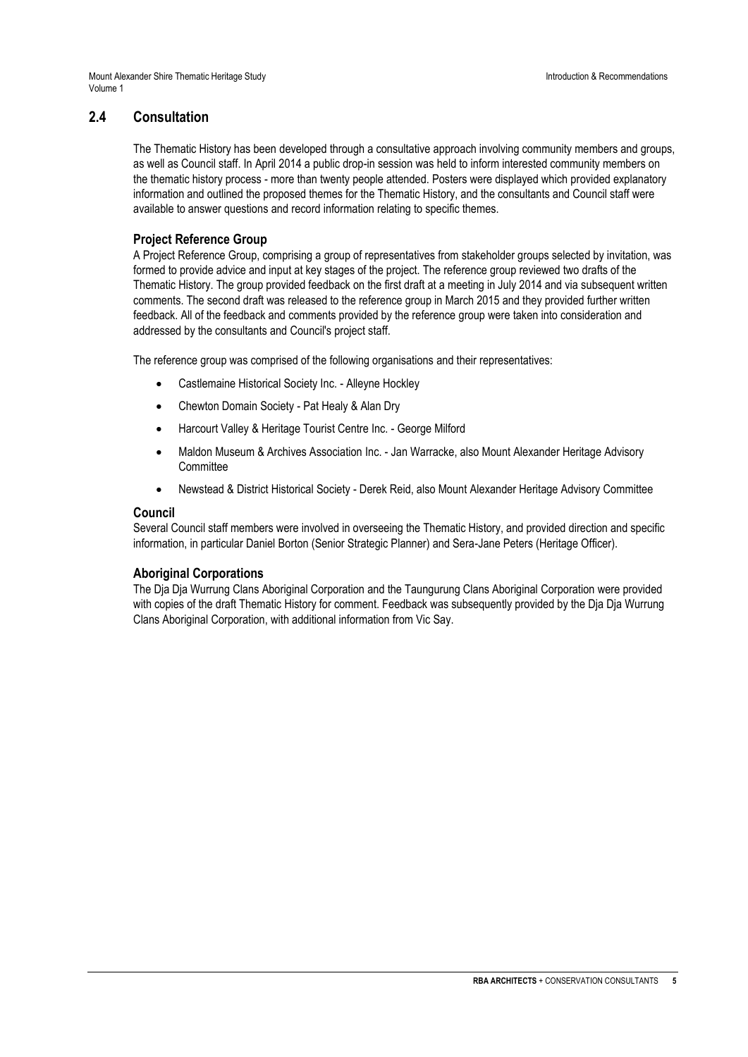## **2.4 Consultation**

The Thematic History has been developed through a consultative approach involving community members and groups, as well as Council staff. In April 2014 a public drop-in session was held to inform interested community members on the thematic history process - more than twenty people attended. Posters were displayed which provided explanatory information and outlined the proposed themes for the Thematic History, and the consultants and Council staff were available to answer questions and record information relating to specific themes.

## **Project Reference Group**

A Project Reference Group, comprising a group of representatives from stakeholder groups selected by invitation, was formed to provide advice and input at key stages of the project. The reference group reviewed two drafts of the Thematic History. The group provided feedback on the first draft at a meeting in July 2014 and via subsequent written comments. The second draft was released to the reference group in March 2015 and they provided further written feedback. All of the feedback and comments provided by the reference group were taken into consideration and addressed by the consultants and Council's project staff.

The reference group was comprised of the following organisations and their representatives:

- Castlemaine Historical Society Inc. Alleyne Hockley
- Chewton Domain Society Pat Healy & Alan Dry
- Harcourt Valley & Heritage Tourist Centre Inc. George Milford
- Maldon Museum & Archives Association Inc. Jan Warracke, also Mount Alexander Heritage Advisory **Committee**
- Newstead & District Historical Society Derek Reid, also Mount Alexander Heritage Advisory Committee

#### **Council**

Several Council staff members were involved in overseeing the Thematic History, and provided direction and specific information, in particular Daniel Borton (Senior Strategic Planner) and Sera-Jane Peters (Heritage Officer).

#### **Aboriginal Corporations**

The Dja Dja Wurrung Clans Aboriginal Corporation and the Taungurung Clans Aboriginal Corporation were provided with copies of the draft Thematic History for comment. Feedback was subsequently provided by the Dja Dja Wurrung Clans Aboriginal Corporation, with additional information from Vic Say.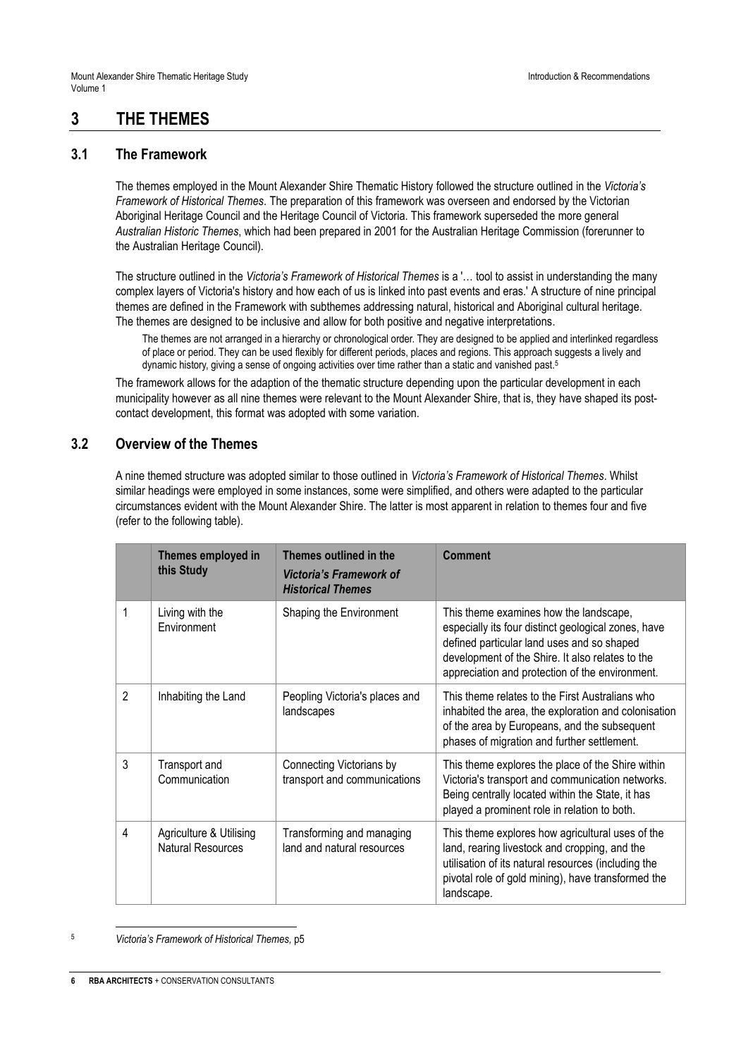## **3 THE THEMES**

## **3.1 The Framework**

The themes employed in the Mount Alexander Shire Thematic History followed the structure outlined in the *Victoria's Framework of Historical Themes*. The preparation of this framework was overseen and endorsed by the Victorian Aboriginal Heritage Council and the Heritage Council of Victoria. This framework superseded the more general *Australian Historic Themes*, which had been prepared in 2001 for the Australian Heritage Commission (forerunner to the Australian Heritage Council).

The structure outlined in the *Victoria's Framework of Historical Themes* is a '… tool to assist in understanding the many complex layers of Victoria's history and how each of us is linked into past events and eras.' A structure of nine principal themes are defined in the Framework with subthemes addressing natural, historical and Aboriginal cultural heritage. The themes are designed to be inclusive and allow for both positive and negative interpretations.

The themes are not arranged in a hierarchy or chronological order. They are designed to be applied and interlinked regardless of place or period. They can be used flexibly for different periods, places and regions. This approach suggests a lively and dynamic history, giving a sense of ongoing activities over time rather than a static and vanished past.<sup>5</sup>

The framework allows for the adaption of the thematic structure depending upon the particular development in each municipality however as all nine themes were relevant to the Mount Alexander Shire, that is, they have shaped its postcontact development, this format was adopted with some variation.

## **3.2 Overview of the Themes**

A nine themed structure was adopted similar to those outlined in *Victoria's Framework of Historical Themes*. Whilst similar headings were employed in some instances, some were simplified, and others were adapted to the particular circumstances evident with the Mount Alexander Shire. The latter is most apparent in relation to themes four and five (refer to the following table).

|                | Themes employed in<br>this Study                    | Themes outlined in the<br>Victoria's Framework of<br><b>Historical Themes</b> | <b>Comment</b>                                                                                                                                                                                                                                     |
|----------------|-----------------------------------------------------|-------------------------------------------------------------------------------|----------------------------------------------------------------------------------------------------------------------------------------------------------------------------------------------------------------------------------------------------|
| 1              | Living with the<br>Environment                      | Shaping the Environment                                                       | This theme examines how the landscape,<br>especially its four distinct geological zones, have<br>defined particular land uses and so shaped<br>development of the Shire. It also relates to the<br>appreciation and protection of the environment. |
| $\overline{2}$ | Inhabiting the Land                                 | Peopling Victoria's places and<br>landscapes                                  | This theme relates to the First Australians who<br>inhabited the area, the exploration and colonisation<br>of the area by Europeans, and the subsequent<br>phases of migration and further settlement.                                             |
| 3              | Transport and<br>Communication                      | Connecting Victorians by<br>transport and communications                      | This theme explores the place of the Shire within<br>Victoria's transport and communication networks.<br>Being centrally located within the State, it has<br>played a prominent role in relation to both.                                          |
| 4              | Agriculture & Utilising<br><b>Natural Resources</b> | Transforming and managing<br>land and natural resources                       | This theme explores how agricultural uses of the<br>land, rearing livestock and cropping, and the<br>utilisation of its natural resources (including the<br>pivotal role of gold mining), have transformed the<br>landscape.                       |

<sup>5</sup> *Victoria's Framework of Historical Themes,* p5

 $\overline{a}$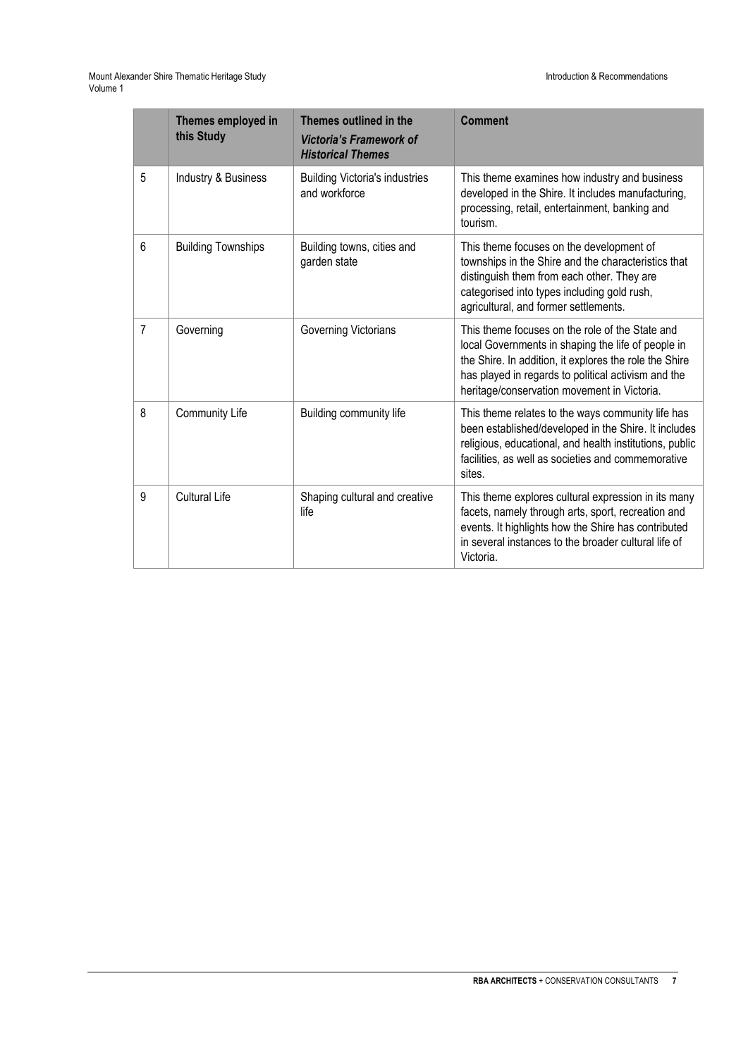Mount Alexander Shire Thematic Heritage Study Introduction & Recommendations Volume 1

|                | Themes employed in<br>this Study | Themes outlined in the<br><b>Victoria's Framework of</b><br><b>Historical Themes</b> | <b>Comment</b>                                                                                                                                                                                                                                                        |
|----------------|----------------------------------|--------------------------------------------------------------------------------------|-----------------------------------------------------------------------------------------------------------------------------------------------------------------------------------------------------------------------------------------------------------------------|
| 5              | Industry & Business              | <b>Building Victoria's industries</b><br>and workforce                               | This theme examines how industry and business<br>developed in the Shire. It includes manufacturing,<br>processing, retail, entertainment, banking and<br>tourism.                                                                                                     |
| 6              | <b>Building Townships</b>        | Building towns, cities and<br>garden state                                           | This theme focuses on the development of<br>townships in the Shire and the characteristics that<br>distinguish them from each other. They are<br>categorised into types including gold rush,<br>agricultural, and former settlements.                                 |
| $\overline{7}$ | Governing                        | Governing Victorians                                                                 | This theme focuses on the role of the State and<br>local Governments in shaping the life of people in<br>the Shire. In addition, it explores the role the Shire<br>has played in regards to political activism and the<br>heritage/conservation movement in Victoria. |
| 8              | Community Life                   | Building community life                                                              | This theme relates to the ways community life has<br>been established/developed in the Shire. It includes<br>religious, educational, and health institutions, public<br>facilities, as well as societies and commemorative<br>sites.                                  |
| 9              | <b>Cultural Life</b>             | Shaping cultural and creative<br>life                                                | This theme explores cultural expression in its many<br>facets, namely through arts, sport, recreation and<br>events. It highlights how the Shire has contributed<br>in several instances to the broader cultural life of<br>Victoria.                                 |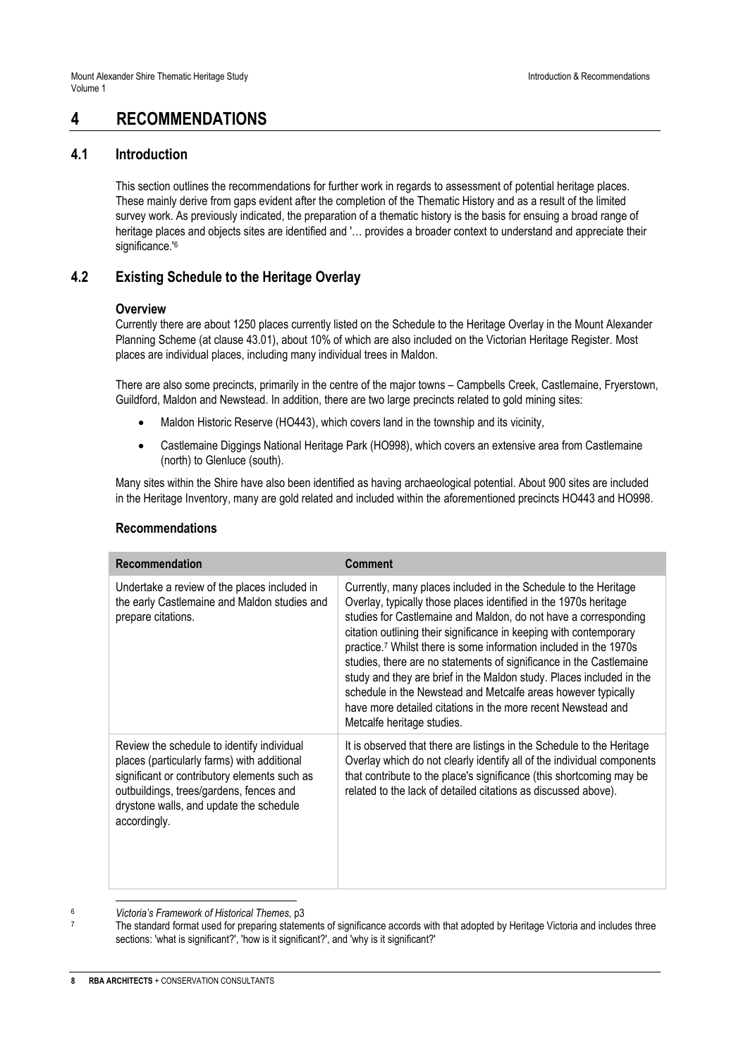## **4 RECOMMENDATIONS**

### **4.1 Introduction**

This section outlines the recommendations for further work in regards to assessment of potential heritage places. These mainly derive from gaps evident after the completion of the Thematic History and as a result of the limited survey work. As previously indicated, the preparation of a thematic history is the basis for ensuing a broad range of heritage places and objects sites are identified and '… provides a broader context to understand and appreciate their significance.<sup>'6</sup>

## **4.2 Existing Schedule to the Heritage Overlay**

#### **Overview**

Currently there are about 1250 places currently listed on the Schedule to the Heritage Overlay in the Mount Alexander Planning Scheme (at clause 43.01), about 10% of which are also included on the Victorian Heritage Register. Most places are individual places, including many individual trees in Maldon.

There are also some precincts, primarily in the centre of the major towns – Campbells Creek, Castlemaine, Fryerstown, Guildford, Maldon and Newstead. In addition, there are two large precincts related to gold mining sites:

- Maldon Historic Reserve (HO443), which covers land in the township and its vicinity,
- Castlemaine Diggings National Heritage Park (HO998), which covers an extensive area from Castlemaine (north) to Glenluce (south).

Many sites within the Shire have also been identified as having archaeological potential. About 900 sites are included in the Heritage Inventory, many are gold related and included within the aforementioned precincts HO443 and HO998.

| Recommendation                                                                                                                                                                                                                                  | <b>Comment</b>                                                                                                                                                                                                                                                                                                                                                                                                                                                                                                                                                                                                                                                              |
|-------------------------------------------------------------------------------------------------------------------------------------------------------------------------------------------------------------------------------------------------|-----------------------------------------------------------------------------------------------------------------------------------------------------------------------------------------------------------------------------------------------------------------------------------------------------------------------------------------------------------------------------------------------------------------------------------------------------------------------------------------------------------------------------------------------------------------------------------------------------------------------------------------------------------------------------|
| Undertake a review of the places included in<br>the early Castlemaine and Maldon studies and<br>prepare citations.                                                                                                                              | Currently, many places included in the Schedule to the Heritage<br>Overlay, typically those places identified in the 1970s heritage<br>studies for Castlemaine and Maldon, do not have a corresponding<br>citation outlining their significance in keeping with contemporary<br>practice. <sup>7</sup> Whilst there is some information included in the 1970s<br>studies, there are no statements of significance in the Castlemaine<br>study and they are brief in the Maldon study. Places included in the<br>schedule in the Newstead and Metcalfe areas however typically<br>have more detailed citations in the more recent Newstead and<br>Metcalfe heritage studies. |
| Review the schedule to identify individual<br>places (particularly farms) with additional<br>significant or contributory elements such as<br>outbuildings, trees/gardens, fences and<br>drystone walls, and update the schedule<br>accordingly. | It is observed that there are listings in the Schedule to the Heritage<br>Overlay which do not clearly identify all of the individual components<br>that contribute to the place's significance (this shortcoming may be<br>related to the lack of detailed citations as discussed above).                                                                                                                                                                                                                                                                                                                                                                                  |

#### **Recommendations**

 $\overline{a}$ <sup>6</sup> *Victoria's Framework of Historical Themes,* p3

The standard format used for preparing statements of significance accords with that adopted by Heritage Victoria and includes three sections: 'what is significant?', 'how is it significant?', and 'why is it significant?'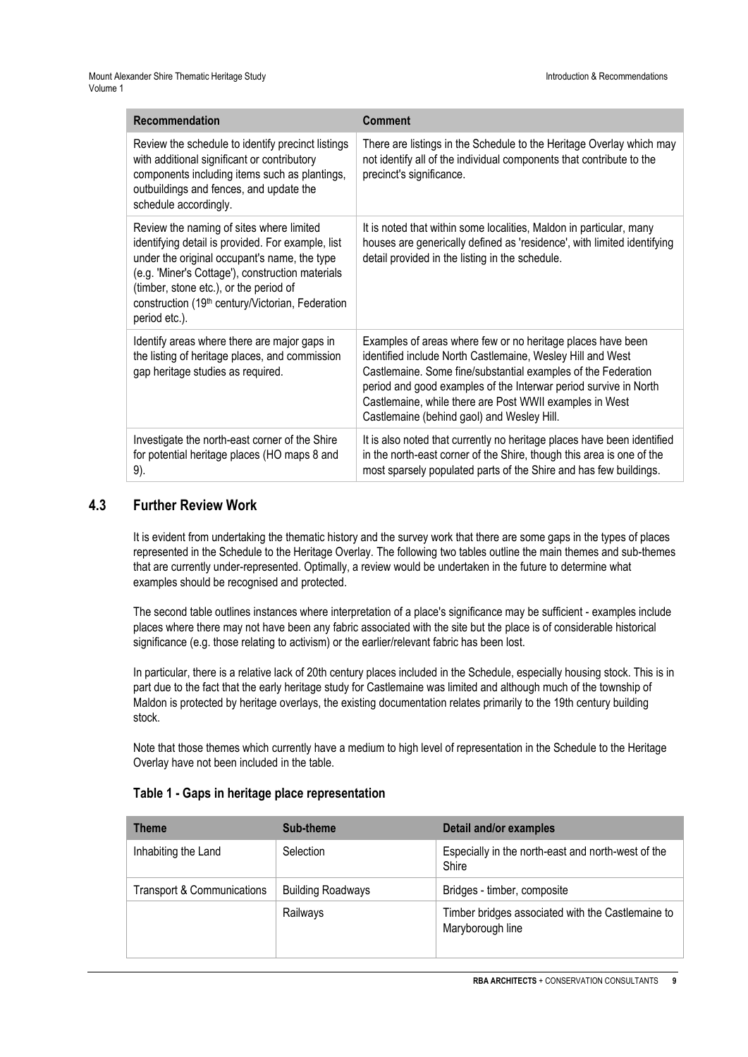| <b>Recommendation</b>                                                                                                                                                                                                                                                                                            | Comment                                                                                                                                                                                                                                                                                                                                                                 |
|------------------------------------------------------------------------------------------------------------------------------------------------------------------------------------------------------------------------------------------------------------------------------------------------------------------|-------------------------------------------------------------------------------------------------------------------------------------------------------------------------------------------------------------------------------------------------------------------------------------------------------------------------------------------------------------------------|
| Review the schedule to identify precinct listings<br>with additional significant or contributory<br>components including items such as plantings,<br>outbuildings and fences, and update the<br>schedule accordingly.                                                                                            | There are listings in the Schedule to the Heritage Overlay which may<br>not identify all of the individual components that contribute to the<br>precinct's significance.                                                                                                                                                                                                |
| Review the naming of sites where limited<br>identifying detail is provided. For example, list<br>under the original occupant's name, the type<br>(e.g. 'Miner's Cottage'), construction materials<br>(timber, stone etc.), or the period of<br>construction (19th century/Victorian, Federation<br>period etc.). | It is noted that within some localities, Maldon in particular, many<br>houses are generically defined as 'residence', with limited identifying<br>detail provided in the listing in the schedule.                                                                                                                                                                       |
| Identify areas where there are major gaps in<br>the listing of heritage places, and commission<br>gap heritage studies as required.                                                                                                                                                                              | Examples of areas where few or no heritage places have been<br>identified include North Castlemaine, Wesley Hill and West<br>Castlemaine. Some fine/substantial examples of the Federation<br>period and good examples of the Interwar period survive in North<br>Castlemaine, while there are Post WWII examples in West<br>Castlemaine (behind gaol) and Wesley Hill. |
| Investigate the north-east corner of the Shire<br>for potential heritage places (HO maps 8 and<br>9).                                                                                                                                                                                                            | It is also noted that currently no heritage places have been identified<br>in the north-east corner of the Shire, though this area is one of the<br>most sparsely populated parts of the Shire and has few buildings.                                                                                                                                                   |

## **4.3 Further Review Work**

It is evident from undertaking the thematic history and the survey work that there are some gaps in the types of places represented in the Schedule to the Heritage Overlay. The following two tables outline the main themes and sub-themes that are currently under-represented. Optimally, a review would be undertaken in the future to determine what examples should be recognised and protected.

The second table outlines instances where interpretation of a place's significance may be sufficient - examples include places where there may not have been any fabric associated with the site but the place is of considerable historical significance (e.g. those relating to activism) or the earlier/relevant fabric has been lost.

In particular, there is a relative lack of 20th century places included in the Schedule, especially housing stock. This is in part due to the fact that the early heritage study for Castlemaine was limited and although much of the township of Maldon is protected by heritage overlays, the existing documentation relates primarily to the 19th century building stock.

Note that those themes which currently have a medium to high level of representation in the Schedule to the Heritage Overlay have not been included in the table.

| <b>Theme</b>               | Sub-theme                | Detail and/or examples                                                |
|----------------------------|--------------------------|-----------------------------------------------------------------------|
| Inhabiting the Land        | <b>Selection</b>         | Especially in the north-east and north-west of the<br>Shire           |
| Transport & Communications | <b>Building Roadways</b> | Bridges - timber, composite                                           |
|                            | Railways                 | Timber bridges associated with the Castlemaine to<br>Maryborough line |

#### **Table 1 - Gaps in heritage place representation**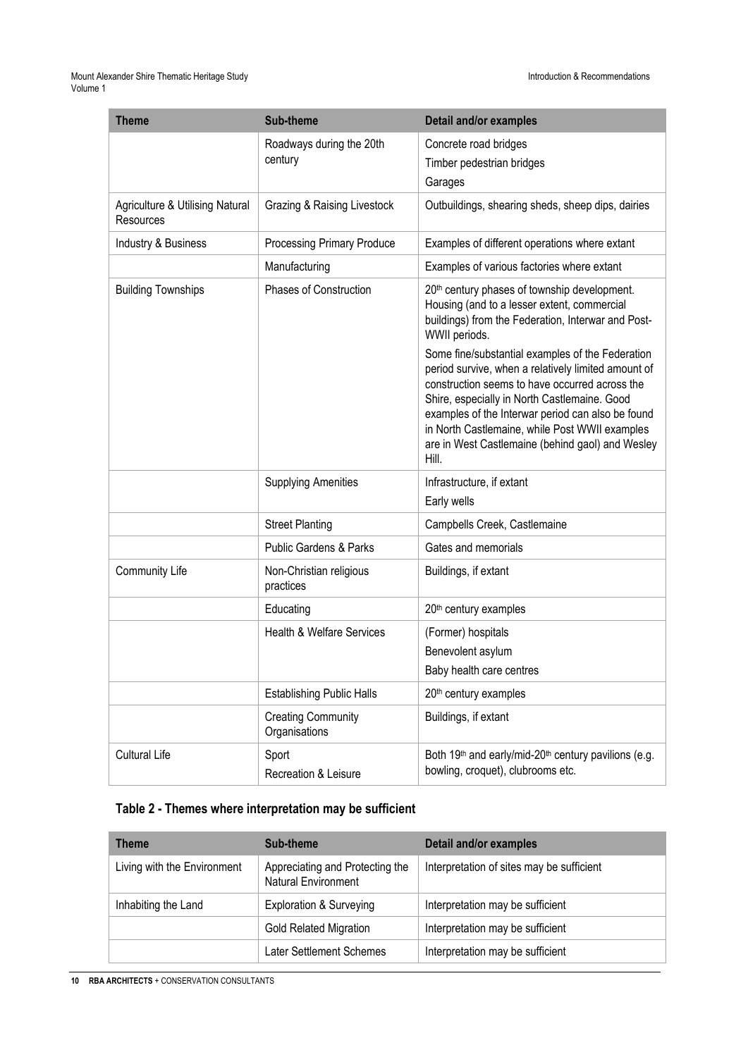#### Mount Alexander Shire Thematic Heritage Study Introduction & Recommendations Volume 1

| <b>Theme</b>                                 | <b>Sub-theme</b>                           | Detail and/or examples                                                                                                                                                                                                                                                                                                                                                        |
|----------------------------------------------|--------------------------------------------|-------------------------------------------------------------------------------------------------------------------------------------------------------------------------------------------------------------------------------------------------------------------------------------------------------------------------------------------------------------------------------|
|                                              | Roadways during the 20th                   | Concrete road bridges                                                                                                                                                                                                                                                                                                                                                         |
|                                              | century                                    | Timber pedestrian bridges                                                                                                                                                                                                                                                                                                                                                     |
|                                              |                                            | Garages                                                                                                                                                                                                                                                                                                                                                                       |
| Agriculture & Utilising Natural<br>Resources | Grazing & Raising Livestock                | Outbuildings, shearing sheds, sheep dips, dairies                                                                                                                                                                                                                                                                                                                             |
| Industry & Business                          | Processing Primary Produce                 | Examples of different operations where extant                                                                                                                                                                                                                                                                                                                                 |
|                                              | Manufacturing                              | Examples of various factories where extant                                                                                                                                                                                                                                                                                                                                    |
| <b>Building Townships</b>                    | Phases of Construction                     | 20th century phases of township development.<br>Housing (and to a lesser extent, commercial<br>buildings) from the Federation, Interwar and Post-<br>WWII periods.                                                                                                                                                                                                            |
|                                              |                                            | Some fine/substantial examples of the Federation<br>period survive, when a relatively limited amount of<br>construction seems to have occurred across the<br>Shire, especially in North Castlemaine. Good<br>examples of the Interwar period can also be found<br>in North Castlemaine, while Post WWII examples<br>are in West Castlemaine (behind gaol) and Wesley<br>Hill. |
|                                              | <b>Supplying Amenities</b>                 | Infrastructure, if extant<br>Early wells                                                                                                                                                                                                                                                                                                                                      |
|                                              | <b>Street Planting</b>                     | Campbells Creek, Castlemaine                                                                                                                                                                                                                                                                                                                                                  |
|                                              | <b>Public Gardens &amp; Parks</b>          | Gates and memorials                                                                                                                                                                                                                                                                                                                                                           |
| <b>Community Life</b>                        | Non-Christian religious<br>practices       | Buildings, if extant                                                                                                                                                                                                                                                                                                                                                          |
|                                              | Educating                                  | 20 <sup>th</sup> century examples                                                                                                                                                                                                                                                                                                                                             |
|                                              | <b>Health &amp; Welfare Services</b>       | (Former) hospitals                                                                                                                                                                                                                                                                                                                                                            |
|                                              |                                            | Benevolent asylum                                                                                                                                                                                                                                                                                                                                                             |
|                                              |                                            | Baby health care centres                                                                                                                                                                                                                                                                                                                                                      |
|                                              | <b>Establishing Public Halls</b>           | 20 <sup>th</sup> century examples                                                                                                                                                                                                                                                                                                                                             |
|                                              | <b>Creating Community</b><br>Organisations | Buildings, if extant                                                                                                                                                                                                                                                                                                                                                          |
| <b>Cultural Life</b>                         | Sport<br>Recreation & Leisure              | Both 19 <sup>th</sup> and early/mid-20 <sup>th</sup> century pavilions (e.g.<br>bowling, croquet), clubrooms etc.                                                                                                                                                                                                                                                             |

## **Table 2 - Themes where interpretation may be sufficient**

| <b>Theme</b>                | Sub-theme                                                     | Detail and/or examples                    |
|-----------------------------|---------------------------------------------------------------|-------------------------------------------|
| Living with the Environment | Appreciating and Protecting the<br><b>Natural Environment</b> | Interpretation of sites may be sufficient |
| Inhabiting the Land         | <b>Exploration &amp; Surveying</b>                            | Interpretation may be sufficient          |
|                             | <b>Gold Related Migration</b>                                 | Interpretation may be sufficient          |
|                             | Later Settlement Schemes                                      | Interpretation may be sufficient          |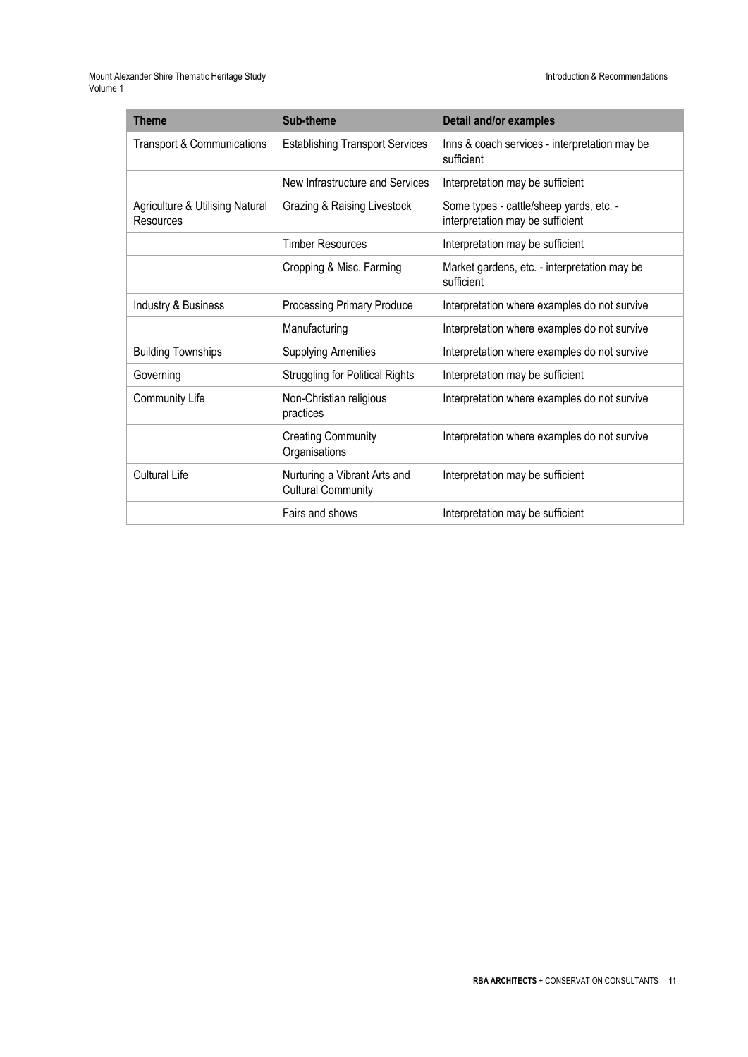| <b>Theme</b>                                 | Sub-theme                                                 | Detail and/or examples                                                      |
|----------------------------------------------|-----------------------------------------------------------|-----------------------------------------------------------------------------|
| <b>Transport &amp; Communications</b>        | <b>Establishing Transport Services</b>                    | Inns & coach services - interpretation may be<br>sufficient                 |
|                                              | New Infrastructure and Services                           | Interpretation may be sufficient                                            |
| Agriculture & Utilising Natural<br>Resources | Grazing & Raising Livestock                               | Some types - cattle/sheep yards, etc. -<br>interpretation may be sufficient |
|                                              | <b>Timber Resources</b>                                   | Interpretation may be sufficient                                            |
|                                              | Cropping & Misc. Farming                                  | Market gardens, etc. - interpretation may be<br>sufficient                  |
| Industry & Business                          | Processing Primary Produce                                | Interpretation where examples do not survive                                |
|                                              | Manufacturing                                             | Interpretation where examples do not survive                                |
| <b>Building Townships</b>                    | <b>Supplying Amenities</b>                                | Interpretation where examples do not survive                                |
| Governing                                    | <b>Struggling for Political Rights</b>                    | Interpretation may be sufficient                                            |
| <b>Community Life</b>                        | Non-Christian religious<br>practices                      | Interpretation where examples do not survive                                |
|                                              | <b>Creating Community</b><br>Organisations                | Interpretation where examples do not survive                                |
| Cultural Life                                | Nurturing a Vibrant Arts and<br><b>Cultural Community</b> | Interpretation may be sufficient                                            |
|                                              | Fairs and shows                                           | Interpretation may be sufficient                                            |